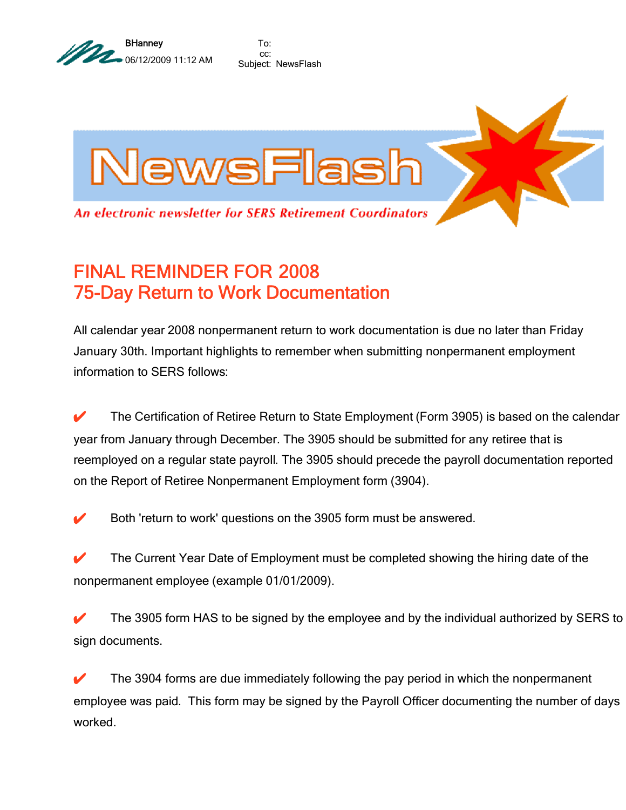

To: cc: Subject: NewsFlash



## FINAL REMINDER FOR 2008 75-Day Return to Work Documentation

All calendar year 2008 nonpermanent return to work documentation is due no later than Friday January 30th. Important highlights to remember when submitting nonpermanent employment information to SERS follows:

✔ The Certification of Retiree Return to State Employment (Form 3905) is based on the calendar year from January through December. The 3905 should be submitted for any retiree that is reemployed on a regular state payroll. The 3905 should precede the payroll documentation reported on the Report of Retiree Nonpermanent Employment form (3904).

Both 'return to work' questions on the 3905 form must be answered.

 $\blacktriangleright$  The Current Year Date of Employment must be completed showing the hiring date of the nonpermanent employee (example 01/01/2009).

The 3905 form HAS to be signed by the employee and by the individual authorized by SERS to sign documents.

 $\blacktriangleright$  The 3904 forms are due immediately following the pay period in which the nonpermanent employee was paid. This form may be signed by the Payroll Officer documenting the number of days worked.